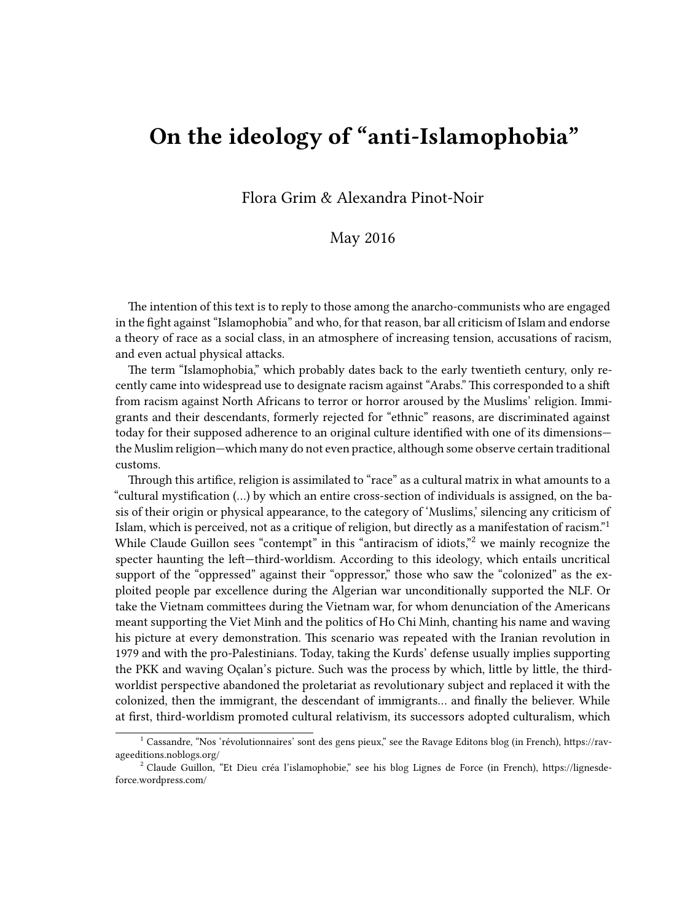## **On the ideology of "anti-Islamophobia"**

Flora Grim & Alexandra Pinot-Noir

## May 2016

The intention of this text is to reply to those among the anarcho-communists who are engaged in the fight against "Islamophobia" and who, for that reason, bar all criticism of Islam and endorse a theory of race as a social class, in an atmosphere of increasing tension, accusations of racism, and even actual physical attacks.

The term "Islamophobia," which probably dates back to the early twentieth century, only recently came into widespread use to designate racism against "Arabs." This corresponded to a shift from racism against North Africans to terror or horror aroused by the Muslims' religion. Immigrants and their descendants, formerly rejected for "ethnic" reasons, are discriminated against today for their supposed adherence to an original culture identified with one of its dimensions the Muslim religion—which many do not even practice, although some observe certain traditional customs.

Through this artifice, religion is assimilated to "race" as a cultural matrix in what amounts to a "cultural mystification (…) by which an entire cross-section of individuals is assigned, on the basis of their origin or physical appearance, to the category of 'Muslims,' silencing any criticism of Islam, which is perceived, not as a critique of religion, but directly as a manifestation of racism."<sup>1</sup> While Claude Guillon sees "contempt" in this "antiracism of idiots,"<sup>2</sup> we mainly recognize the specter haunting the left—third-worldism. According to this ideology, which entails uncritical support of the "oppressed" against their "oppressor," those who saw the "colonized" as the exploited people par excellence during the Algerian war unconditionally supported the NLF. Or take the Vietnam committees during the Vietnam war, for whom denunciation of the Americans meant supporting the Viet Minh and the politics of Ho Chi Minh, chanting his name and waving his picture at every demonstration. This scenario was repeated with the Iranian revolution in 1979 and with the pro-Palestinians. Today, taking the Kurds' defense usually implies supporting the PKK and waving Oçalan's picture. Such was the process by which, little by little, the thirdworldist perspective abandoned the proletariat as revolutionary subject and replaced it with the colonized, then the immigrant, the descendant of immigrants… and finally the believer. While at first, third-worldism promoted cultural relativism, its successors adopted culturalism, which

 $^1$  Cassandre, "Nos 'révolutionnaires' sont des gens pieux," see the Ravage Editons blog (in French), https://ravageeditions.noblogs.org/

<sup>&</sup>lt;sup>2</sup> Claude Guillon, "Et Dieu créa l'islamophobie," see his blog Lignes de Force (in French), https://lignesdeforce.wordpress.com/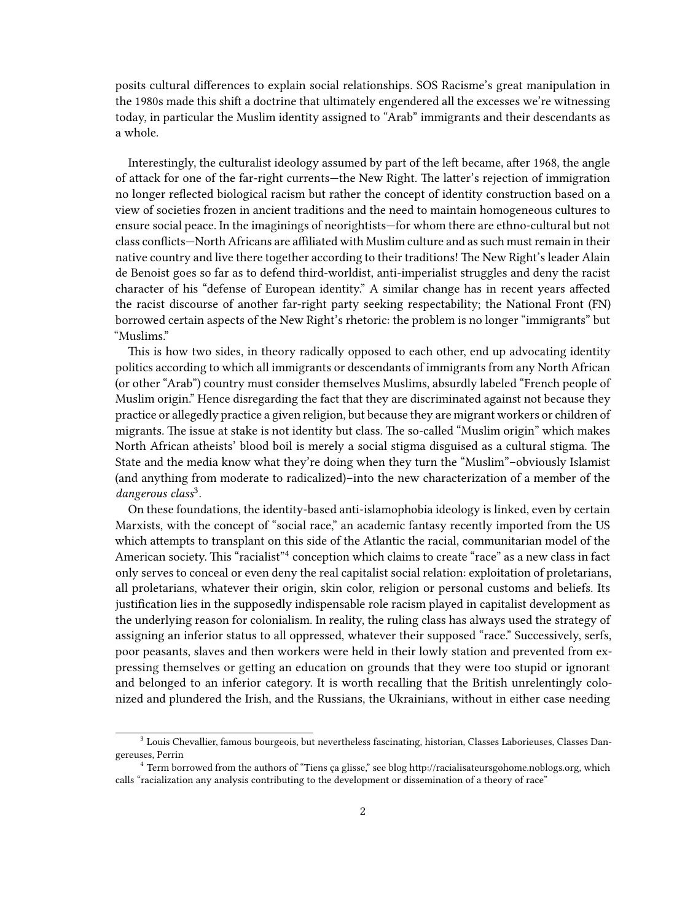posits cultural differences to explain social relationships. SOS Racisme's great manipulation in the 1980s made this shift a doctrine that ultimately engendered all the excesses we're witnessing today, in particular the Muslim identity assigned to "Arab" immigrants and their descendants as a whole.

Interestingly, the culturalist ideology assumed by part of the left became, after 1968, the angle of attack for one of the far-right currents—the New Right. The latter's rejection of immigration no longer reflected biological racism but rather the concept of identity construction based on a view of societies frozen in ancient traditions and the need to maintain homogeneous cultures to ensure social peace. In the imaginings of neorightists—for whom there are ethno-cultural but not class conflicts—North Africans are affiliated with Muslim culture and as such must remain in their native country and live there together according to their traditions! The New Right's leader Alain de Benoist goes so far as to defend third-worldist, anti-imperialist struggles and deny the racist character of his "defense of European identity." A similar change has in recent years affected the racist discourse of another far-right party seeking respectability; the National Front (FN) borrowed certain aspects of the New Right's rhetoric: the problem is no longer "immigrants" but "Muslims."

This is how two sides, in theory radically opposed to each other, end up advocating identity politics according to which all immigrants or descendants of immigrants from any North African (or other "Arab") country must consider themselves Muslims, absurdly labeled "French people of Muslim origin." Hence disregarding the fact that they are discriminated against not because they practice or allegedly practice a given religion, but because they are migrant workers or children of migrants. The issue at stake is not identity but class. The so-called "Muslim origin" which makes North African atheists' blood boil is merely a social stigma disguised as a cultural stigma. The State and the media know what they're doing when they turn the "Muslim"–obviously Islamist (and anything from moderate to radicalized)–into the new characterization of a member of the *dangerous class*<sup>3</sup> .

On these foundations, the identity-based anti-islamophobia ideology is linked, even by certain Marxists, with the concept of "social race," an academic fantasy recently imported from the US which attempts to transplant on this side of the Atlantic the racial, communitarian model of the American society. This "racialist"<sup>4</sup> conception which claims to create "race" as a new class in fact only serves to conceal or even deny the real capitalist social relation: exploitation of proletarians, all proletarians, whatever their origin, skin color, religion or personal customs and beliefs. Its justification lies in the supposedly indispensable role racism played in capitalist development as the underlying reason for colonialism. In reality, the ruling class has always used the strategy of assigning an inferior status to all oppressed, whatever their supposed "race." Successively, serfs, poor peasants, slaves and then workers were held in their lowly station and prevented from expressing themselves or getting an education on grounds that they were too stupid or ignorant and belonged to an inferior category. It is worth recalling that the British unrelentingly colonized and plundered the Irish, and the Russians, the Ukrainians, without in either case needing

<sup>&</sup>lt;sup>3</sup> Louis Chevallier, famous bourgeois, but nevertheless fascinating, historian, Classes Laborieuses, Classes Dangereuses, Perrin

<sup>4</sup> Term borrowed from the authors of "Tiens ça glisse," see blog http://racialisateursgohome.noblogs.org, which calls "racialization any analysis contributing to the development or dissemination of a theory of race"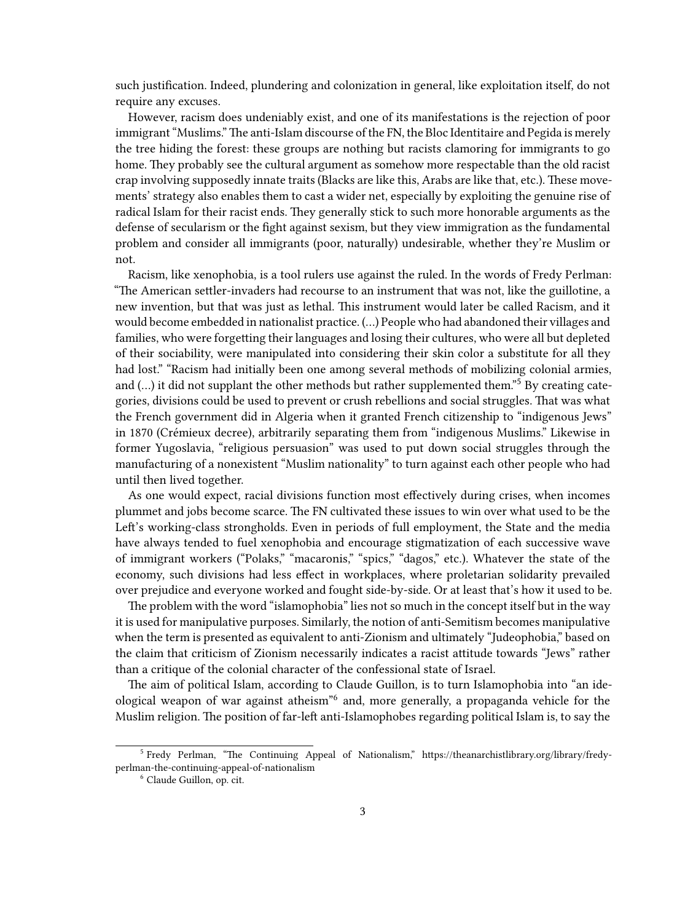such justification. Indeed, plundering and colonization in general, like exploitation itself, do not require any excuses.

However, racism does undeniably exist, and one of its manifestations is the rejection of poor immigrant "Muslims."The anti-Islam discourse of the FN, the Bloc Identitaire and Pegida is merely the tree hiding the forest: these groups are nothing but racists clamoring for immigrants to go home. They probably see the cultural argument as somehow more respectable than the old racist crap involving supposedly innate traits (Blacks are like this, Arabs are like that, etc.). These movements' strategy also enables them to cast a wider net, especially by exploiting the genuine rise of radical Islam for their racist ends. They generally stick to such more honorable arguments as the defense of secularism or the fight against sexism, but they view immigration as the fundamental problem and consider all immigrants (poor, naturally) undesirable, whether they're Muslim or not.

Racism, like xenophobia, is a tool rulers use against the ruled. In the words of Fredy Perlman: "The American settler-invaders had recourse to an instrument that was not, like the guillotine, a new invention, but that was just as lethal. This instrument would later be called Racism, and it would become embedded in nationalist practice. (…) People who had abandoned their villages and families, who were forgetting their languages and losing their cultures, who were all but depleted of their sociability, were manipulated into considering their skin color a substitute for all they had lost." "Racism had initially been one among several methods of mobilizing colonial armies, and  $(...)$  it did not supplant the other methods but rather supplemented them.<sup>"5</sup> By creating categories, divisions could be used to prevent or crush rebellions and social struggles. That was what the French government did in Algeria when it granted French citizenship to "indigenous Jews" in 1870 (Crémieux decree), arbitrarily separating them from "indigenous Muslims." Likewise in former Yugoslavia, "religious persuasion" was used to put down social struggles through the manufacturing of a nonexistent "Muslim nationality" to turn against each other people who had until then lived together.

As one would expect, racial divisions function most effectively during crises, when incomes plummet and jobs become scarce. The FN cultivated these issues to win over what used to be the Left's working-class strongholds. Even in periods of full employment, the State and the media have always tended to fuel xenophobia and encourage stigmatization of each successive wave of immigrant workers ("Polaks," "macaronis," "spics," "dagos," etc.). Whatever the state of the economy, such divisions had less effect in workplaces, where proletarian solidarity prevailed over prejudice and everyone worked and fought side-by-side. Or at least that's how it used to be.

The problem with the word "islamophobia" lies not so much in the concept itself but in the way it is used for manipulative purposes. Similarly, the notion of anti-Semitism becomes manipulative when the term is presented as equivalent to anti-Zionism and ultimately "Judeophobia," based on the claim that criticism of Zionism necessarily indicates a racist attitude towards "Jews" rather than a critique of the colonial character of the confessional state of Israel.

The aim of political Islam, according to Claude Guillon, is to turn Islamophobia into "an ideological weapon of war against atheism<sup>"6</sup> and, more generally, a propaganda vehicle for the Muslim religion. The position of far-left anti-Islamophobes regarding political Islam is, to say the

<sup>&</sup>lt;sup>5</sup> Fredy Perlman, "The Continuing Appeal of Nationalism," https://theanarchistlibrary.org/library/fredyperlman-the-continuing-appeal-of-nationalism

<sup>6</sup> Claude Guillon, op. cit.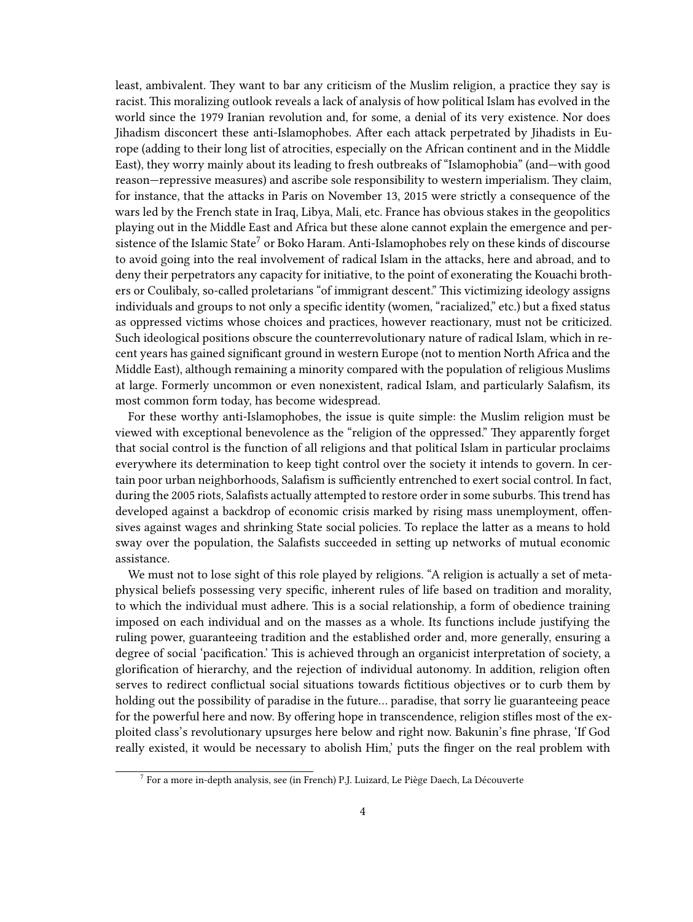least, ambivalent. They want to bar any criticism of the Muslim religion, a practice they say is racist. This moralizing outlook reveals a lack of analysis of how political Islam has evolved in the world since the 1979 Iranian revolution and, for some, a denial of its very existence. Nor does Jihadism disconcert these anti-Islamophobes. After each attack perpetrated by Jihadists in Europe (adding to their long list of atrocities, especially on the African continent and in the Middle East), they worry mainly about its leading to fresh outbreaks of "Islamophobia" (and—with good reason—repressive measures) and ascribe sole responsibility to western imperialism. They claim, for instance, that the attacks in Paris on November 13, 2015 were strictly a consequence of the wars led by the French state in Iraq, Libya, Mali, etc. France has obvious stakes in the geopolitics playing out in the Middle East and Africa but these alone cannot explain the emergence and persistence of the Islamic State<sup>7</sup> or Boko Haram. Anti-Islamophobes rely on these kinds of discourse to avoid going into the real involvement of radical Islam in the attacks, here and abroad, and to deny their perpetrators any capacity for initiative, to the point of exonerating the Kouachi brothers or Coulibaly, so-called proletarians "of immigrant descent." This victimizing ideology assigns individuals and groups to not only a specific identity (women, "racialized," etc.) but a fixed status as oppressed victims whose choices and practices, however reactionary, must not be criticized. Such ideological positions obscure the counterrevolutionary nature of radical Islam, which in recent years has gained significant ground in western Europe (not to mention North Africa and the Middle East), although remaining a minority compared with the population of religious Muslims at large. Formerly uncommon or even nonexistent, radical Islam, and particularly Salafism, its most common form today, has become widespread.

For these worthy anti-Islamophobes, the issue is quite simple: the Muslim religion must be viewed with exceptional benevolence as the "religion of the oppressed." They apparently forget that social control is the function of all religions and that political Islam in particular proclaims everywhere its determination to keep tight control over the society it intends to govern. In certain poor urban neighborhoods, Salafism is sufficiently entrenched to exert social control. In fact, during the 2005 riots, Salafists actually attempted to restore order in some suburbs. This trend has developed against a backdrop of economic crisis marked by rising mass unemployment, offensives against wages and shrinking State social policies. To replace the latter as a means to hold sway over the population, the Salafists succeeded in setting up networks of mutual economic assistance.

We must not to lose sight of this role played by religions. "A religion is actually a set of metaphysical beliefs possessing very specific, inherent rules of life based on tradition and morality, to which the individual must adhere. This is a social relationship, a form of obedience training imposed on each individual and on the masses as a whole. Its functions include justifying the ruling power, guaranteeing tradition and the established order and, more generally, ensuring a degree of social 'pacification.' This is achieved through an organicist interpretation of society, a glorification of hierarchy, and the rejection of individual autonomy. In addition, religion often serves to redirect conflictual social situations towards fictitious objectives or to curb them by holding out the possibility of paradise in the future… paradise, that sorry lie guaranteeing peace for the powerful here and now. By offering hope in transcendence, religion stifles most of the exploited class's revolutionary upsurges here below and right now. Bakunin's fine phrase, 'If God really existed, it would be necessary to abolish Him,' puts the finger on the real problem with

 $^7$  For a more in-depth analysis, see (in French) P.J. Luizard, Le Piège Daech, La Découverte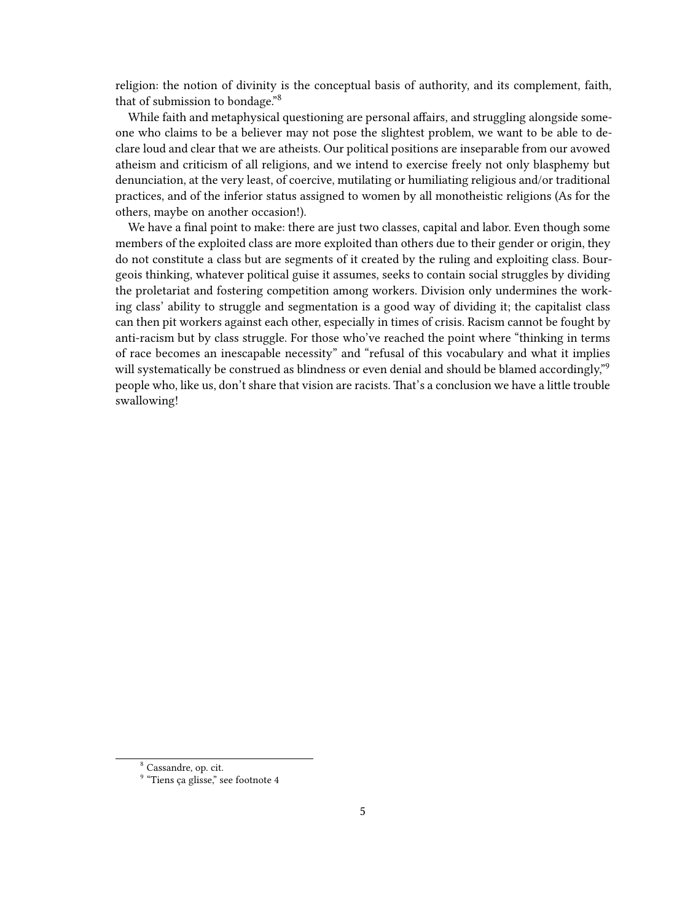religion: the notion of divinity is the conceptual basis of authority, and its complement, faith, that of submission to bondage."<sup>8</sup>

While faith and metaphysical questioning are personal affairs, and struggling alongside someone who claims to be a believer may not pose the slightest problem, we want to be able to declare loud and clear that we are atheists. Our political positions are inseparable from our avowed atheism and criticism of all religions, and we intend to exercise freely not only blasphemy but denunciation, at the very least, of coercive, mutilating or humiliating religious and/or traditional practices, and of the inferior status assigned to women by all monotheistic religions (As for the others, maybe on another occasion!).

We have a final point to make: there are just two classes, capital and labor. Even though some members of the exploited class are more exploited than others due to their gender or origin, they do not constitute a class but are segments of it created by the ruling and exploiting class. Bourgeois thinking, whatever political guise it assumes, seeks to contain social struggles by dividing the proletariat and fostering competition among workers. Division only undermines the working class' ability to struggle and segmentation is a good way of dividing it; the capitalist class can then pit workers against each other, especially in times of crisis. Racism cannot be fought by anti-racism but by class struggle. For those who've reached the point where "thinking in terms of race becomes an inescapable necessity" and "refusal of this vocabulary and what it implies will systematically be construed as blindness or even denial and should be blamed accordingly,"<sup>9</sup> people who, like us, don't share that vision are racists. That's a conclusion we have a little trouble swallowing!

<sup>8</sup> Cassandre, op. cit.

<sup>&</sup>lt;sup>9</sup> "Tiens ça glisse," see footnote 4